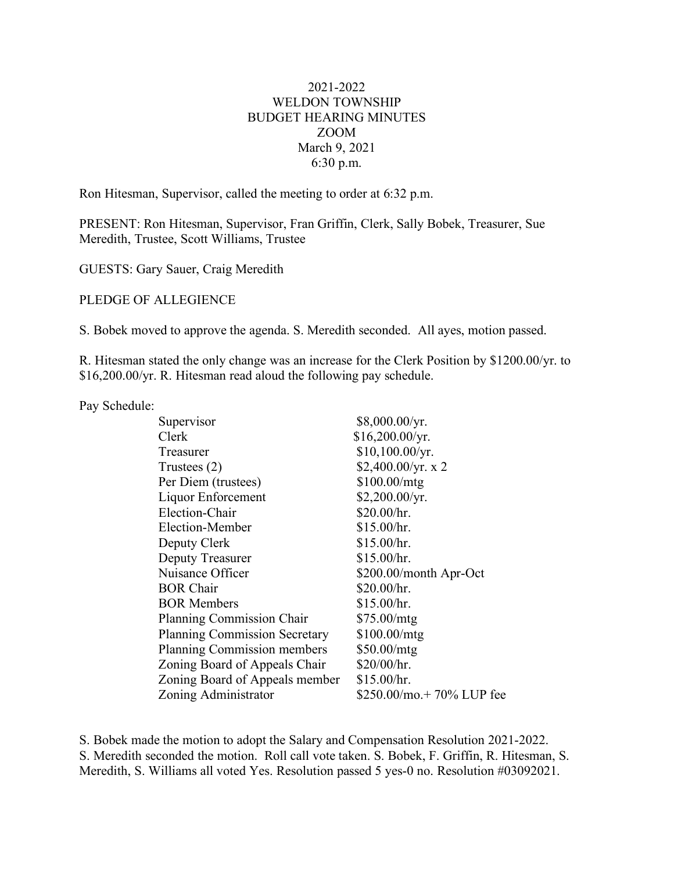## 2021-2022 WELDON TOWNSHIP BUDGET HEARING MINUTES ZOOM March 9, 2021 6:30 p.m.

Ron Hitesman, Supervisor, called the meeting to order at 6:32 p.m.

PRESENT: Ron Hitesman, Supervisor, Fran Griffin, Clerk, Sally Bobek, Treasurer, Sue Meredith, Trustee, Scott Williams, Trustee

GUESTS: Gary Sauer, Craig Meredith

PLEDGE OF ALLEGIENCE

S. Bobek moved to approve the agenda. S. Meredith seconded. All ayes, motion passed.

R. Hitesman stated the only change was an increase for the Clerk Position by \$1200.00/yr. to \$16,200.00/yr. R. Hitesman read aloud the following pay schedule.

Pay Schedule:

| Supervisor                           | \$8,000.00/yr.            |
|--------------------------------------|---------------------------|
| Clerk                                | \$16,200.00/yr.           |
| Treasurer                            | \$10,100.00/yr.           |
| Trustees $(2)$                       | \$2,400.00/yr. x 2        |
| Per Diem (trustees)                  | \$100.00/mtg              |
| Liquor Enforcement                   | \$2,200.00/yr.            |
| Election-Chair                       | \$20.00/hr.               |
| Election-Member                      | \$15.00/hr.               |
| Deputy Clerk                         | \$15.00/hr.               |
| Deputy Treasurer                     | \$15.00/hr.               |
| Nuisance Officer                     | \$200.00/month Apr-Oct    |
| <b>BOR Chair</b>                     | \$20.00/hr.               |
| <b>BOR Members</b>                   | \$15.00/hr.               |
| <b>Planning Commission Chair</b>     | \$75.00/mtg               |
| <b>Planning Commission Secretary</b> | \$100.00/mtg              |
| Planning Commission members          | \$50.00/mtg               |
| Zoning Board of Appeals Chair        | \$20/00/hr.               |
| Zoning Board of Appeals member       | \$15.00/hr.               |
| Zoning Administrator                 | \$250.00/mo.+ 70% LUP fee |
|                                      |                           |

S. Bobek made the motion to adopt the Salary and Compensation Resolution 2021-2022. S. Meredith seconded the motion. Roll call vote taken. S. Bobek, F. Griffin, R. Hitesman, S. Meredith, S. Williams all voted Yes. Resolution passed 5 yes-0 no. Resolution #03092021.